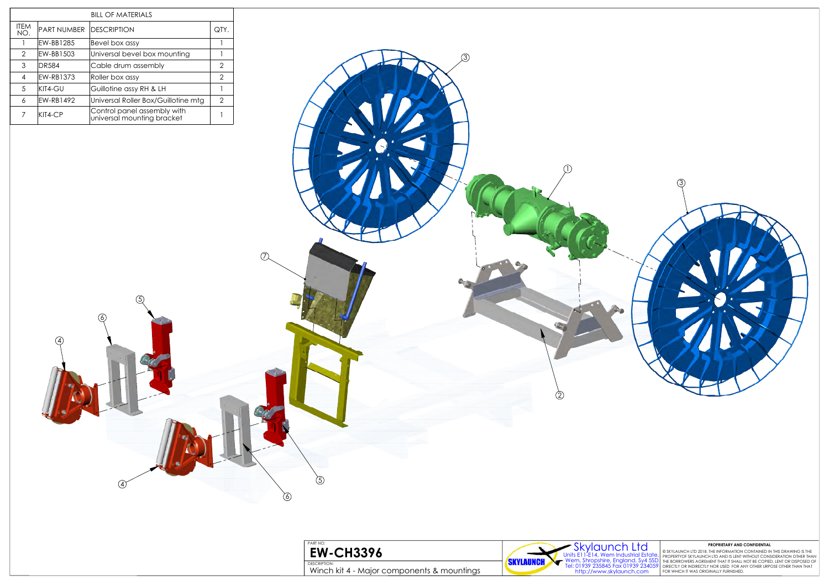



© SKYLAUNCH LTD 2018. THE INFORMATION CONTAINED IN THIS DRAWING IS THE<br>PROPERTYOF SKYLAUNCH LTD AND IS LENT WITHOUT CONSIDERATION OTHER THAN<br>THE BORROWERS AGREMENT THAT IT SHALL NOT BE COPIED, LENT OR DISPOSED OF<br>DIRECTLY

|                |                         | <b>BILL OF MATERIALS</b>                                  |                |                                                                                                                            |                                                                                                                                                                                                                                                                                                    |
|----------------|-------------------------|-----------------------------------------------------------|----------------|----------------------------------------------------------------------------------------------------------------------------|----------------------------------------------------------------------------------------------------------------------------------------------------------------------------------------------------------------------------------------------------------------------------------------------------|
| ITEM<br>NO.    | PART NUMBER DESCRIPTION |                                                           | QTY.           |                                                                                                                            |                                                                                                                                                                                                                                                                                                    |
| $\overline{1}$ | EW-BB1285               | Bevel box assy                                            | $\mathbf{1}$   |                                                                                                                            |                                                                                                                                                                                                                                                                                                    |
| 2              | EW-BB1503               | Universal bevel box mounting                              | $\overline{1}$ |                                                                                                                            |                                                                                                                                                                                                                                                                                                    |
| $\mathbf{3}$   | <b>DR584</b>            | Cable drum assembly                                       | $\overline{2}$ |                                                                                                                            |                                                                                                                                                                                                                                                                                                    |
| -4             | EW-RB1373               | Roller box assy                                           | $\overline{2}$ |                                                                                                                            |                                                                                                                                                                                                                                                                                                    |
| $\overline{5}$ | KIT4-GU                 | Guillotine assy RH & LH                                   | $\mathbf{1}$   |                                                                                                                            |                                                                                                                                                                                                                                                                                                    |
| $\epsilon$     | EW-RB1492               | Universal Roller Box/Guillotine mtg                       | $\overline{2}$ |                                                                                                                            |                                                                                                                                                                                                                                                                                                    |
| $\overline{7}$ | KIT4-CP                 | Control panel assembly with<br>universal mounting bracket | $\mathbf{1}$   |                                                                                                                            |                                                                                                                                                                                                                                                                                                    |
|                | $\circledA$             | $\circ$<br>$\Omega$<br>$\circled{4}$                      |                | $\mathcal{D}$<br>$\circledS$<br>PART NO:<br><b>EW-CH3396</b><br>DESCRIPTION:<br>Winch kit 4 - Major components & mountings | $\circled{3}$<br>$\circled{2}$<br>SKYLOUNCHELLE A Wern Industrial Estate of SKYLAUNCH LTD 2018. THE INFORMATION CONFIDENTIAL Units E11-E14, Wern Industrial Estate PROPERTYOF SKYLAUNCH LTD 2018. THE INFORMATION CONTAINED II<br>- Wern, Shropshire, England. Sy4<br><b>SKYLAUNCH</b><br><b>Y</b> |